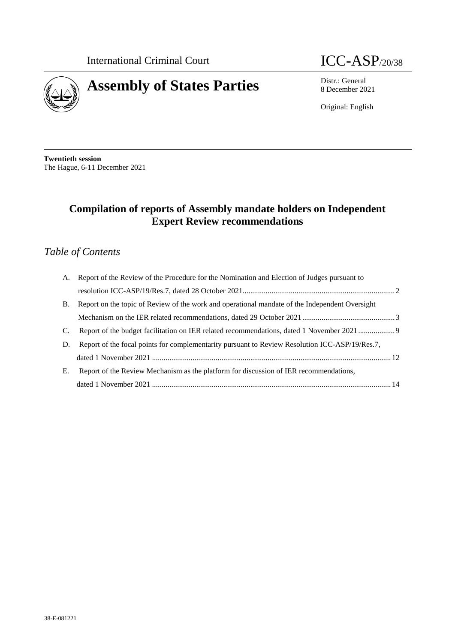

# **Assembly of States Parties** Distr.: General **Distr.: General**

8 December 2021

Original: English

**Twentieth session** The Hague, 6-11 December 2021

# **Compilation of reports of Assembly mandate holders on Independent Expert Review recommendations**

# *Table of Contents*

| A.        | Report of the Review of the Procedure for the Nomination and Election of Judges pursuant to    |  |
|-----------|------------------------------------------------------------------------------------------------|--|
|           |                                                                                                |  |
| <b>B.</b> | Report on the topic of Review of the work and operational mandate of the Independent Oversight |  |
|           |                                                                                                |  |
| C.        |                                                                                                |  |
| D.        | Report of the focal points for complementarity pursuant to Review Resolution ICC-ASP/19/Res.7, |  |
|           |                                                                                                |  |
| Е.        | Report of the Review Mechanism as the platform for discussion of IER recommendations,          |  |
|           |                                                                                                |  |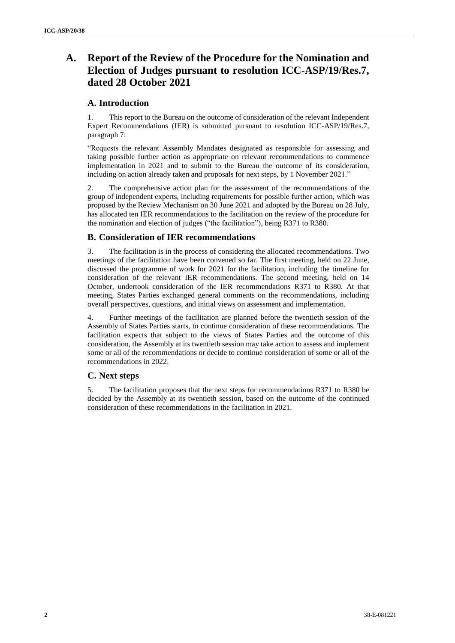# **A. Report of the Review of the Procedure for the Nomination and Election of Judges pursuant to resolution ICC-ASP/19/Res.7, dated 28 October 2021**

# **A. Introduction**

1. This report to the Bureau on the outcome of consideration of the relevant Independent Expert Recommendations (IER) is submitted pursuant to resolution ICC-ASP/19/Res.7, paragraph 7:

"Requests the relevant Assembly Mandates designated as responsible for assessing and taking possible further action as appropriate on relevant recommendations to commence implementation in 2021 and to submit to the Bureau the outcome of its consideration, including on action already taken and proposals for next steps, by 1 November 2021."

2. The comprehensive action plan for the assessment of the recommendations of the group of independent experts, including requirements for possible further action, which was proposed by the Review Mechanism on 30 June 2021 and adopted by the Bureau on 28 July, has allocated ten IER recommendations to the facilitation on the review of the procedure for the nomination and election of judges ("the facilitation"), being R371 to R380.

# **B. Consideration of IER recommendations**

3. The facilitation is in the process of considering the allocated recommendations. Two meetings of the facilitation have been convened so far. The first meeting, held on 22 June, discussed the programme of work for 2021 for the facilitation, including the timeline for consideration of the relevant IER recommendations. The second meeting, held on 14 October, undertook consideration of the IER recommendations R371 to R380. At that meeting, States Parties exchanged general comments on the recommendations, including overall perspectives, questions, and initial views on assessment and implementation.

4. Further meetings of the facilitation are planned before the twentieth session of the Assembly of States Parties starts, to continue consideration of these recommendations. The facilitation expects that subject to the views of States Parties and the outcome of this consideration, the Assembly at its twentieth session may take action to assess and implement some or all of the recommendations or decide to continue consideration of some or all of the recommendations in 2022.

# **C. Next steps**

The facilitation proposes that the next steps for recommendations R371 to R380 be decided by the Assembly at its twentieth session, based on the outcome of the continued consideration of these recommendations in the facilitation in 2021.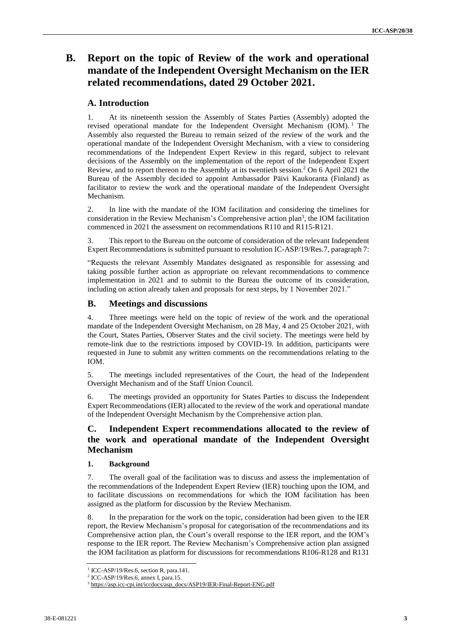# **B. Report on the topic of Review of the work and operational mandate of the Independent Oversight Mechanism on the IER related recommendations, dated 29 October 2021.**

# **A. Introduction**

1. At its nineteenth session the Assembly of States Parties (Assembly) adopted the revised operational mandate for the Independent Oversight Mechanism (IOM).<sup>1</sup> The Assembly also requested the Bureau to remain seized of the review of the work and the operational mandate of the Independent Oversight Mechanism, with a view to considering recommendations of the Independent Expert Review in this regard, subject to relevant decisions of the Assembly on the implementation of the report of the Independent Expert Review, and to report thereon to the Assembly at its twentieth session.<sup>2</sup> On 6 April 2021 the Bureau of the Assembly decided to appoint Ambassador Päivi Kaukoranta (Finland) as facilitator to review the work and the operational mandate of the Independent Oversight Mechanism.

2. In line with the mandate of the IOM facilitation and considering the timelines for consideration in the Review Mechanism's Comprehensive action plan<sup>3</sup>, the IOM facilitation commenced in 2021 the assessment on recommendations R110 and R115-R121.

3. This report to the Bureau on the outcome of consideration of the relevant Independent Expert Recommendations is submitted pursuant to resolution IC-ASP/19/Res.7, paragraph 7:

"Requests the relevant Assembly Mandates designated as responsible for assessing and taking possible further action as appropriate on relevant recommendations to commence implementation in 2021 and to submit to the Bureau the outcome of its consideration, including on action already taken and proposals for next steps, by 1 November 2021."

# **B. Meetings and discussions**

4. Three meetings were held on the topic of review of the work and the operational mandate of the Independent Oversight Mechanism, on 28 May, 4 and 25 October 2021, with the Court, States Parties, Observer States and the civil society. The meetings were held by remote-link due to the restrictions imposed by COVID-19. In addition, participants were requested in June to submit any written comments on the recommendations relating to the IOM.

5. The meetings included representatives of the Court, the head of the Independent Oversight Mechanism and of the Staff Union Council.

6. The meetings provided an opportunity for States Parties to discuss the Independent Expert Recommendations (IER) allocated to the review of the work and operational mandate of the Independent Oversight Mechanism by the Comprehensive action plan.

# **C. Independent Expert recommendations allocated to the review of the work and operational mandate of the Independent Oversight Mechanism**

# **1. Background**

7. The overall goal of the facilitation was to discuss and assess the implementation of the recommendations of the Independent Expert Review (IER) touching upon the IOM, and to facilitate discussions on recommendations for which the IOM facilitation has been assigned as the platform for discussion by the Review Mechanism.

8. In the preparation for the work on the topic, consideration had been given to the IER report, the Review Mechanism's proposal for categorisation of the recommendations and its Comprehensive action plan, the Court's overall response to the IER report, and the IOM's response to the IER report. The Review Mechanism's Comprehensive action plan assigned the IOM facilitation as platform for discussions for recommendations R106-R128 and R131

<sup>1</sup> ICC-ASP/19/Res.6, section R, para.141.

<sup>2</sup> ICC-ASP/19/Res.6, annex I, para.15.

<sup>&</sup>lt;sup>3</sup> [https://asp.icc-cpi.int/iccdocs/asp\\_docs/ASP19/IER-Final-Report-ENG.pdf](https://asp.icc-cpi.int/iccdocs/asp_docs/ASP19/IER-Final-Report-ENG.pdf)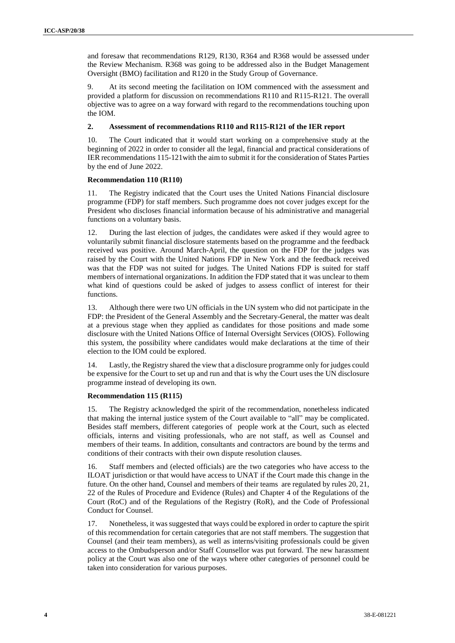and foresaw that recommendations R129, R130, R364 and R368 would be assessed under the Review Mechanism. R368 was going to be addressed also in the Budget Management Oversight (BMO) facilitation and R120 in the Study Group of Governance.

9. At its second meeting the facilitation on IOM commenced with the assessment and provided a platform for discussion on recommendations R110 and R115-R121. The overall objective was to agree on a way forward with regard to the recommendations touching upon the IOM.

#### **2. Assessment of recommendations R110 and R115-R121 of the IER report**

10. The Court indicated that it would start working on a comprehensive study at the beginning of 2022 in order to consider all the legal, financial and practical considerations of IER recommendations 115-121with the aim to submit it for the consideration of States Parties by the end of June 2022.

#### **Recommendation 110 (R110)**

11. The Registry indicated that the Court uses the United Nations Financial disclosure programme (FDP) for staff members. Such programme does not cover judges except for the President who discloses financial information because of his administrative and managerial functions on a voluntary basis.

12. During the last election of judges, the candidates were asked if they would agree to voluntarily submit financial disclosure statements based on the programme and the feedback received was positive. Around March-April, the question on the FDP for the judges was raised by the Court with the United Nations FDP in New York and the feedback received was that the FDP was not suited for judges. The United Nations FDP is suited for staff members of international organizations. In addition the FDP stated that it was unclear to them what kind of questions could be asked of judges to assess conflict of interest for their functions.

13. Although there were two UN officials in the UN system who did not participate in the FDP: the President of the General Assembly and the Secretary-General, the matter was dealt at a previous stage when they applied as candidates for those positions and made some disclosure with the United Nations Office of Internal Oversight Services (OIOS). Following this system, the possibility where candidates would make declarations at the time of their election to the IOM could be explored.

14. Lastly, the Registry shared the view that a disclosure programme only for judges could be expensive for the Court to set up and run and that is why the Court uses the UN disclosure programme instead of developing its own.

#### **Recommendation 115 (R115)**

15. The Registry acknowledged the spirit of the recommendation, nonetheless indicated that making the internal justice system of the Court available to "all" may be complicated. Besides staff members, different categories of people work at the Court, such as elected officials, interns and visiting professionals, who are not staff, as well as Counsel and members of their teams. In addition, consultants and contractors are bound by the terms and conditions of their contracts with their own dispute resolution clauses.

16. Staff members and (elected officials) are the two categories who have access to the ILOAT jurisdiction or that would have access to UNAT if the Court made this change in the future. On the other hand, Counsel and members of their teams are regulated by rules 20, 21, 22 of the Rules of Procedure and Evidence (Rules) and Chapter 4 of the Regulations of the Court (RoC) and of the Regulations of the Registry (RoR), and the Code of Professional Conduct for Counsel.

17. Nonetheless, it wassuggested that ways could be explored in order to capture the spirit of this recommendation for certain categories that are not staff members. The suggestion that Counsel (and their team members), as well as interns/visiting professionals could be given access to the Ombudsperson and/or Staff Counsellor was put forward. The new harassment policy at the Court was also one of the ways where other categories of personnel could be taken into consideration for various purposes.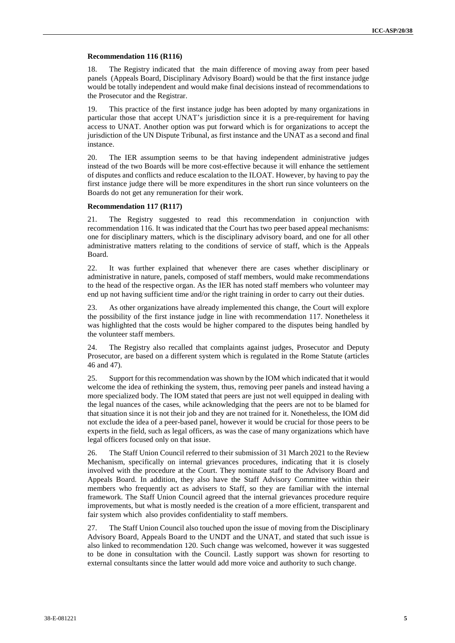#### **Recommendation 116 (R116)**

18. The Registry indicated that the main difference of moving away from peer based panels (Appeals Board, Disciplinary Advisory Board) would be that the first instance judge would be totally independent and would make final decisions instead of recommendations to the Prosecutor and the Registrar.

19. This practice of the first instance judge has been adopted by many organizations in particular those that accept UNAT's jurisdiction since it is a pre-requirement for having access to UNAT. Another option was put forward which is for organizations to accept the jurisdiction of the UN Dispute Tribunal, as first instance and the UNAT as a second and final instance.

20. The IER assumption seems to be that having independent administrative judges instead of the two Boards will be more cost-effective because it will enhance the settlement of disputes and conflicts and reduce escalation to the ILOAT. However, by having to pay the first instance judge there will be more expenditures in the short run since volunteers on the Boards do not get any remuneration for their work.

#### **Recommendation 117 (R117)**

21. The Registry suggested to read this recommendation in conjunction with recommendation 116. It was indicated that the Court has two peer based appeal mechanisms: one for disciplinary matters, which is the disciplinary advisory board, and one for all other administrative matters relating to the conditions of service of staff, which is the Appeals Board.

22. It was further explained that whenever there are cases whether disciplinary or administrative in nature, panels, composed of staff members, would make recommendations to the head of the respective organ. As the IER has noted staff members who volunteer may end up not having sufficient time and/or the right training in order to carry out their duties.

23. As other organizations have already implemented this change, the Court will explore the possibility of the first instance judge in line with recommendation 117. Nonetheless it was highlighted that the costs would be higher compared to the disputes being handled by the volunteer staff members.

24. The Registry also recalled that complaints against judges, Prosecutor and Deputy Prosecutor, are based on a different system which is regulated in the Rome Statute (articles 46 and 47).

25. Support for thisrecommendation was shown by the IOM which indicated that it would welcome the idea of rethinking the system, thus, removing peer panels and instead having a more specialized body. The IOM stated that peers are just not well equipped in dealing with the legal nuances of the cases, while acknowledging that the peers are not to be blamed for that situation since it is not their job and they are not trained for it. Nonetheless, the IOM did not exclude the idea of a peer-based panel, however it would be crucial for those peers to be experts in the field, such as legal officers, as was the case of many organizations which have legal officers focused only on that issue.

26. The Staff Union Council referred to their submission of 31 March 2021 to the Review Mechanism, specifically on internal grievances procedures, indicating that it is closely involved with the procedure at the Court. They nominate staff to the Advisory Board and Appeals Board. In addition, they also have the Staff Advisory Committee within their members who frequently act as advisers to Staff, so they are familiar with the internal framework. The Staff Union Council agreed that the internal grievances procedure require improvements, but what is mostly needed is the creation of a more efficient, transparent and fair system which also provides confidentiality to staff members.

27. The Staff Union Council also touched upon the issue of moving from the Disciplinary Advisory Board, Appeals Board to the UNDT and the UNAT, and stated that such issue is also linked to recommendation 120. Such change was welcomed, however it was suggested to be done in consultation with the Council. Lastly support was shown for resorting to external consultants since the latter would add more voice and authority to such change.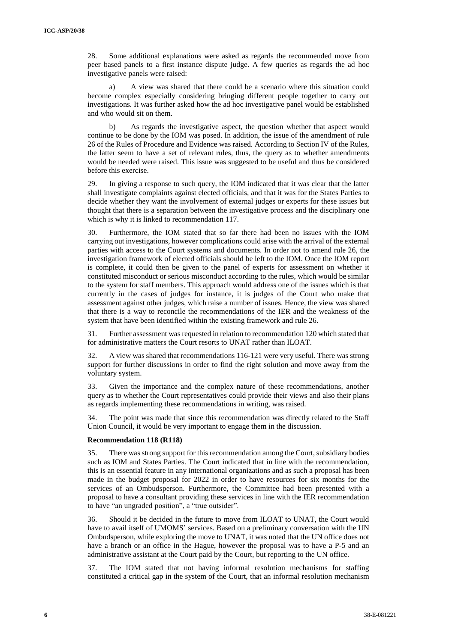28. Some additional explanations were asked as regards the recommended move from peer based panels to a first instance dispute judge. A few queries as regards the ad hoc investigative panels were raised:

a) A view was shared that there could be a scenario where this situation could become complex especially considering bringing different people together to carry out investigations. It was further asked how the ad hoc investigative panel would be established and who would sit on them.

b) As regards the investigative aspect, the question whether that aspect would continue to be done by the IOM was posed. In addition, the issue of the amendment of rule 26 of the Rules of Procedure and Evidence was raised. According to Section IV of the Rules, the latter seem to have a set of relevant rules, thus, the query as to whether amendments would be needed were raised. This issue was suggested to be useful and thus be considered before this exercise.

29. In giving a response to such query, the IOM indicated that it was clear that the latter shall investigate complaints against elected officials, and that it was for the States Parties to decide whether they want the involvement of external judges or experts for these issues but thought that there is a separation between the investigative process and the disciplinary one which is why it is linked to recommendation 117.

30. Furthermore, the IOM stated that so far there had been no issues with the IOM carrying out investigations, however complications could arise with the arrival of the external parties with access to the Court systems and documents. In order not to amend rule 26, the investigation framework of elected officials should be left to the IOM. Once the IOM report is complete, it could then be given to the panel of experts for assessment on whether it constituted misconduct or serious misconduct according to the rules, which would be similar to the system for staff members. This approach would address one of the issues which is that currently in the cases of judges for instance, it is judges of the Court who make that assessment against other judges, which raise a number of issues. Hence, the view was shared that there is a way to reconcile the recommendations of the IER and the weakness of the system that have been identified within the existing framework and rule 26.

31. Further assessment wasrequested in relation to recommendation 120 which stated that for administrative matters the Court resorts to UNAT rather than ILOAT.

32. A view was shared that recommendations 116-121 were very useful. There was strong support for further discussions in order to find the right solution and move away from the voluntary system.

33. Given the importance and the complex nature of these recommendations, another query as to whether the Court representatives could provide their views and also their plans as regards implementing these recommendations in writing, was raised.

34. The point was made that since this recommendation was directly related to the Staff Union Council, it would be very important to engage them in the discussion.

#### **Recommendation 118 (R118)**

35. There wasstrong support for thisrecommendation among the Court, subsidiary bodies such as IOM and States Parties. The Court indicated that in line with the recommendation, this is an essential feature in any international organizations and as such a proposal has been made in the budget proposal for 2022 in order to have resources for six months for the services of an Ombudsperson. Furthermore, the Committee had been presented with a proposal to have a consultant providing these services in line with the IER recommendation to have "an ungraded position", a "true outsider".

36. Should it be decided in the future to move from ILOAT to UNAT, the Court would have to avail itself of UMOMS' services. Based on a preliminary conversation with the UN Ombudsperson, while exploring the move to UNAT, it was noted that the UN office does not have a branch or an office in the Hague, however the proposal was to have a P-5 and an administrative assistant at the Court paid by the Court, but reporting to the UN office.

37. The IOM stated that not having informal resolution mechanisms for staffing constituted a critical gap in the system of the Court, that an informal resolution mechanism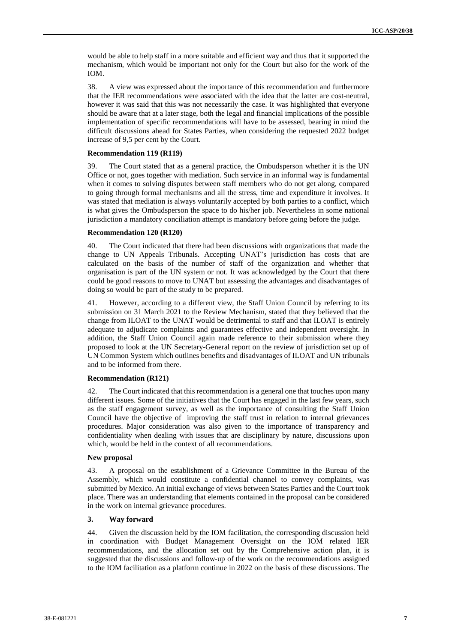would be able to help staff in a more suitable and efficient way and thus that it supported the mechanism, which would be important not only for the Court but also for the work of the IOM.

38. A view was expressed about the importance of this recommendation and furthermore that the IER recommendations were associated with the idea that the latter are cost-neutral, however it was said that this was not necessarily the case. It was highlighted that everyone should be aware that at a later stage, both the legal and financial implications of the possible implementation of specific recommendations will have to be assessed, bearing in mind the difficult discussions ahead for States Parties, when considering the requested 2022 budget increase of 9,5 per cent by the Court.

#### **Recommendation 119 (R119)**

39. The Court stated that as a general practice, the Ombudsperson whether it is the UN Office or not, goes together with mediation. Such service in an informal way is fundamental when it comes to solving disputes between staff members who do not get along, compared to going through formal mechanisms and all the stress, time and expenditure it involves. It was stated that mediation is always voluntarily accepted by both parties to a conflict, which is what gives the Ombudsperson the space to do his/her job. Nevertheless in some national jurisdiction a mandatory conciliation attempt is mandatory before going before the judge.

#### **Recommendation 120 (R120)**

40. The Court indicated that there had been discussions with organizations that made the change to UN Appeals Tribunals. Accepting UNAT's jurisdiction has costs that are calculated on the basis of the number of staff of the organization and whether that organisation is part of the UN system or not. It was acknowledged by the Court that there could be good reasons to move to UNAT but assessing the advantages and disadvantages of doing so would be part of the study to be prepared.

41. However, according to a different view, the Staff Union Council by referring to its submission on 31 March 2021 to the Review Mechanism, stated that they believed that the change from ILOAT to the UNAT would be detrimental to staff and that ILOAT is entirely adequate to adjudicate complaints and guarantees effective and independent oversight. In addition, the Staff Union Council again made reference to their submission where they proposed to look at the UN Secretary-General report on the review of jurisdiction set up of UN Common System which outlines benefits and disadvantages of ILOAT and UN tribunals and to be informed from there.

#### **Recommendation (R121)**

42. The Court indicated that this recommendation is a general one that touches upon many different issues. Some of the initiatives that the Court has engaged in the last few years, such as the staff engagement survey, as well as the importance of consulting the Staff Union Council have the objective of improving the staff trust in relation to internal grievances procedures. Major consideration was also given to the importance of transparency and confidentiality when dealing with issues that are disciplinary by nature, discussions upon which, would be held in the context of all recommendations.

#### **New proposal**

43. A proposal on the establishment of a Grievance Committee in the Bureau of the Assembly, which would constitute a confidential channel to convey complaints, was submitted by Mexico. An initial exchange of views between States Parties and the Court took place. There was an understanding that elements contained in the proposal can be considered in the work on internal grievance procedures.

#### **3. Way forward**

44. Given the discussion held by the IOM facilitation, the corresponding discussion held in coordination with Budget Management Oversight on the IOM related IER recommendations, and the allocation set out by the Comprehensive action plan, it is suggested that the discussions and follow-up of the work on the recommendations assigned to the IOM facilitation as a platform continue in 2022 on the basis of these discussions. The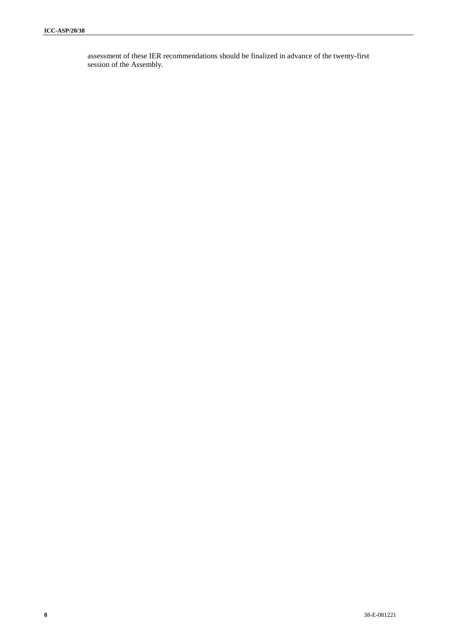assessment of these IER recommendations should be finalized in advance of the twenty-first session of the Assembly.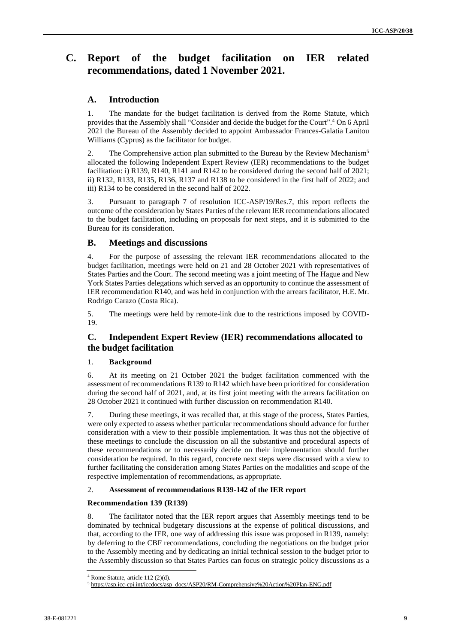# **C. Report of the budget facilitation on IER related recommendations, dated 1 November 2021.**

# **A. Introduction**

1. The mandate for the budget facilitation is derived from the Rome Statute, which provides that the Assembly shall "Consider and decide the budget for the Court".<sup>4</sup> On 6 April 2021 the Bureau of the Assembly decided to appoint Ambassador Frances-Galatia Lanitou Williams (Cyprus) as the facilitator for budget.

2. The Comprehensive action plan submitted to the Bureau by the Review Mechanism<sup>5</sup> allocated the following Independent Expert Review (IER) recommendations to the budget facilitation: i) R139, R140, R141 and R142 to be considered during the second half of 2021; ii) R132, R133, R135, R136, R137 and R138 to be considered in the first half of 2022; and iii) R134 to be considered in the second half of 2022.

3. Pursuant to paragraph 7 of resolution ICC-ASP/19/Res.7, this report reflects the outcome of the consideration by States Parties of the relevant IER recommendations allocated to the budget facilitation, including on proposals for next steps, and it is submitted to the Bureau for its consideration.

## **B. Meetings and discussions**

4. For the purpose of assessing the relevant IER recommendations allocated to the budget facilitation, meetings were held on 21 and 28 October 2021 with representatives of States Parties and the Court. The second meeting was a joint meeting of The Hague and New York States Parties delegations which served as an opportunity to continue the assessment of IER recommendation R140, and was held in conjunction with the arrears facilitator, H.E. Mr. Rodrigo Carazo (Costa Rica).

5. The meetings were held by remote-link due to the restrictions imposed by COVID-19.

# **C. Independent Expert Review (IER) recommendations allocated to the budget facilitation**

#### 1. **Background**

6. At its meeting on 21 October 2021 the budget facilitation commenced with the assessment of recommendations R139 to R142 which have been prioritized for consideration during the second half of 2021, and, at its first joint meeting with the arrears facilitation on 28 October 2021 it continued with further discussion on recommendation R140.

7. During these meetings, it was recalled that, at this stage of the process, States Parties, were only expected to assess whether particular recommendations should advance for further consideration with a view to their possible implementation. It was thus not the objective of these meetings to conclude the discussion on all the substantive and procedural aspects of these recommendations or to necessarily decide on their implementation should further consideration be required. In this regard, concrete next steps were discussed with a view to further facilitating the consideration among States Parties on the modalities and scope of the respective implementation of recommendations, as appropriate.

#### 2. **Assessment of recommendations R139-142 of the IER report**

#### **Recommendation 139 (R139)**

8. The facilitator noted that the IER report argues that Assembly meetings tend to be dominated by technical budgetary discussions at the expense of political discussions, and that, according to the IER, one way of addressing this issue was proposed in R139, namely: by deferring to the CBF recommendations, concluding the negotiations on the budget prior to the Assembly meeting and by dedicating an initial technical session to the budget prior to the Assembly discussion so that States Parties can focus on strategic policy discussions as a

 $4$  Rome Statute, article 112 (2)(d).

<sup>5</sup> [https://asp.icc-cpi.int/iccdocs/asp\\_docs/ASP20/RM-Comprehensive%20Action%20Plan-ENG.pdf](https://asp.icc-cpi.int/iccdocs/asp_docs/ASP20/RM-Comprehensive%20Action%20Plan-ENG.pdf)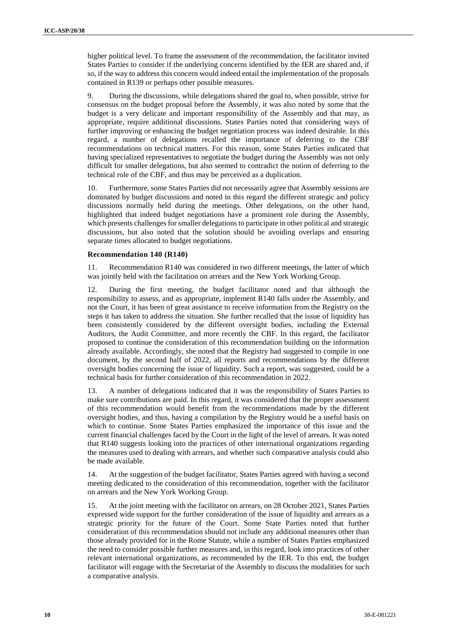higher political level. To frame the assessment of the recommendation, the facilitator invited States Parties to consider if the underlying concerns identified by the IER are shared and, if so, if the way to address this concern would indeed entail the implementation of the proposals contained in R139 or perhaps other possible measures.

9. During the discussions, while delegations shared the goal to, when possible, strive for consensus on the budget proposal before the Assembly, it was also noted by some that the budget is a very delicate and important responsibility of the Assembly and that may, as appropriate, require additional discussions. States Parties noted that considering ways of further improving or enhancing the budget negotiation process was indeed desirable. In this regard, a number of delegations recalled the importance of deferring to the CBF recommendations on technical matters. For this reason, some States Parties indicated that having specialized representatives to negotiate the budget during the Assembly was not only difficult for smaller delegations, but also seemed to contradict the notion of deferring to the technical role of the CBF, and thus may be perceived as a duplication.

Furthermore, some States Parties did not necessarily agree that Assembly sessions are dominated by budget discussions and noted in this regard the different strategic and policy discussions normally held during the meetings. Other delegations, on the other hand, highlighted that indeed budget negotiations have a prominent role during the Assembly, which presents challenges for smaller delegations to participate in other political and strategic discussions, but also noted that the solution should be avoiding overlaps and ensuring separate times allocated to budget negotiations.

#### **Recommendation 140 (R140)**

11. Recommendation R140 was considered in two different meetings, the latter of which was jointly held with the facilitation on arrears and the New York Working Group.

12. During the first meeting, the budget facilitator noted and that although the responsibility to assess, and as appropriate, implement R140 falls under the Assembly, and not the Court, it has been of great assistance to receive information from the Registry on the steps it has taken to address the situation. She further recalled that the issue of liquidity has been consistently considered by the different oversight bodies, including the External Auditors, the Audit Committee, and more recently the CBF. In this regard, the facilitator proposed to continue the consideration of this recommendation building on the information already available. Accordingly, she noted that the Registry had suggested to compile in one document, by the second half of 2022, all reports and recommendations by the different oversight bodies concerning the issue of liquidity. Such a report, was suggested, could be a technical basis for further consideration of this recommendation in 2022.

13. A number of delegations indicated that it was the responsibility of States Parties to make sure contributions are paid. In this regard, it was considered that the proper assessment of this recommendation would benefit from the recommendations made by the different oversight bodies, and thus, having a compilation by the Registry would be a useful basis on which to continue. Some States Parties emphasized the importance of this issue and the current financial challenges faced by the Court in the light of the level of arrears. It was noted that R140 suggests looking into the practices of other international organizations regarding the measures used to dealing with arrears, and whether such comparative analysis could also be made available.

14. At the suggestion of the budget facilitator, States Parties agreed with having a second meeting dedicated to the consideration of this recommendation, together with the facilitator on arrears and the New York Working Group.

15. At the joint meeting with the facilitator on arrears, on 28 October 2021, States Parties expressed wide support for the further consideration of the issue of liquidity and arrears as a strategic priority for the future of the Court. Some State Parties noted that further consideration of this recommendation should not include any additional measures other than those already provided for in the Rome Statute, while a number of States Parties emphasized the need to consider possible further measures and, in this regard, look into practices of other relevant international organizations, as recommended by the IER. To this end, the budget facilitator will engage with the Secretariat of the Assembly to discuss the modalities for such a comparative analysis.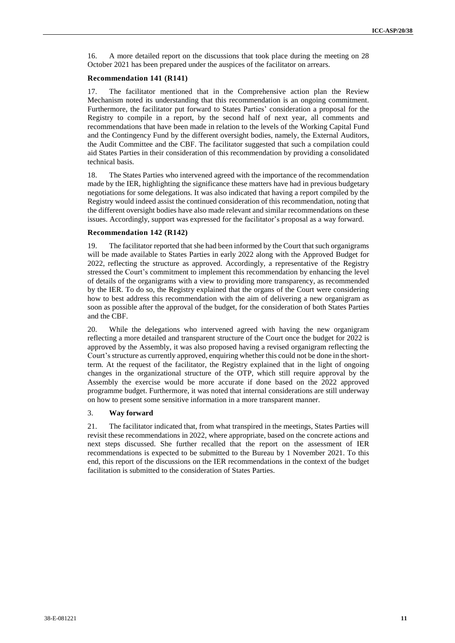16. A more detailed report on the discussions that took place during the meeting on 28 October 2021 has been prepared under the auspices of the facilitator on arrears.

#### **Recommendation 141 (R141)**

17. The facilitator mentioned that in the Comprehensive action plan the Review Mechanism noted its understanding that this recommendation is an ongoing commitment. Furthermore, the facilitator put forward to States Parties' consideration a proposal for the Registry to compile in a report, by the second half of next year, all comments and recommendations that have been made in relation to the levels of the Working Capital Fund and the Contingency Fund by the different oversight bodies, namely, the External Auditors, the Audit Committee and the CBF. The facilitator suggested that such a compilation could aid States Parties in their consideration of this recommendation by providing a consolidated technical basis.

18. The States Parties who intervened agreed with the importance of the recommendation made by the IER, highlighting the significance these matters have had in previous budgetary negotiations for some delegations. It was also indicated that having a report compiled by the Registry would indeed assist the continued consideration of this recommendation, noting that the different oversight bodies have also made relevant and similar recommendations on these issues. Accordingly, support was expressed for the facilitator's proposal as a way forward.

#### **Recommendation 142 (R142)**

19. The facilitator reported that she had been informed by the Court that such organigrams will be made available to States Parties in early 2022 along with the Approved Budget for 2022, reflecting the structure as approved. Accordingly, a representative of the Registry stressed the Court's commitment to implement this recommendation by enhancing the level of details of the organigrams with a view to providing more transparency, as recommended by the IER. To do so, the Registry explained that the organs of the Court were considering how to best address this recommendation with the aim of delivering a new organigram as soon as possible after the approval of the budget, for the consideration of both States Parties and the CBF.

20. While the delegations who intervened agreed with having the new organigram reflecting a more detailed and transparent structure of the Court once the budget for 2022 is approved by the Assembly, it was also proposed having a revised organigram reflecting the Court's structure as currently approved, enquiring whether this could not be done in the shortterm. At the request of the facilitator, the Registry explained that in the light of ongoing changes in the organizational structure of the OTP, which still require approval by the Assembly the exercise would be more accurate if done based on the 2022 approved programme budget. Furthermore, it was noted that internal considerations are still underway on how to present some sensitive information in a more transparent manner.

#### 3. **Way forward**

21. The facilitator indicated that, from what transpired in the meetings, States Parties will revisit these recommendations in 2022, where appropriate, based on the concrete actions and next steps discussed. She further recalled that the report on the assessment of IER recommendations is expected to be submitted to the Bureau by 1 November 2021. To this end, this report of the discussions on the IER recommendations in the context of the budget facilitation is submitted to the consideration of States Parties.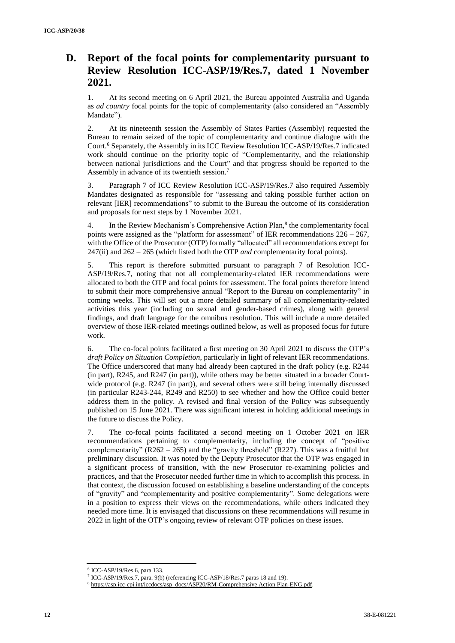# **D. Report of the focal points for complementarity pursuant to Review Resolution ICC-ASP/19/Res.7, dated 1 November 2021.**

1. At its second meeting on 6 April 2021, the Bureau appointed Australia and Uganda as *ad country* focal points for the topic of complementarity (also considered an "Assembly Mandate").

2. At its nineteenth session the Assembly of States Parties (Assembly) requested the Bureau to remain seized of the topic of complementarity and continue dialogue with the Court.<sup>6</sup> Separately, the Assembly in its ICC Review Resolution ICC-ASP/19/Res.7 indicated work should continue on the priority topic of "Complementarity, and the relationship between national jurisdictions and the Court" and that progress should be reported to the Assembly in advance of its twentieth session.<sup>7</sup>

3. Paragraph 7 of ICC Review Resolution ICC-ASP/19/Res.7 also required Assembly Mandates designated as responsible for "assessing and taking possible further action on relevant [IER] recommendations" to submit to the Bureau the outcome of its consideration and proposals for next steps by 1 November 2021.

4. In the Review Mechanism's Comprehensive Action Plan,<sup>8</sup> the complementarity focal points were assigned as the "platform for assessment" of IER recommendations  $226 - 267$ , with the Office of the Prosecutor (OTP) formally "allocated" all recommendations except for 247(ii) and 262 – 265 (which listed both the OTP *and* complementarity focal points).

5. This report is therefore submitted pursuant to paragraph 7 of Resolution ICC-ASP/19/Res.7, noting that not all complementarity-related IER recommendations were allocated to both the OTP and focal points for assessment. The focal points therefore intend to submit their more comprehensive annual "Report to the Bureau on complementarity" in coming weeks. This will set out a more detailed summary of all complementarity-related activities this year (including on sexual and gender-based crimes), along with general findings, and draft language for the omnibus resolution. This will include a more detailed overview of those IER-related meetings outlined below, as well as proposed focus for future work.

6. The co-focal points facilitated a first meeting on 30 April 2021 to discuss the OTP's *draft Policy on Situation Completion*, particularly in light of relevant IER recommendations. The Office underscored that many had already been captured in the draft policy (e.g. R244 (in part), R245, and R247 (in part)), while others may be better situated in a broader Courtwide protocol (e.g. R247 (in part)), and several others were still being internally discussed (in particular R243-244, R249 and R250) to see whether and how the Office could better address them in the policy. A revised and final version of the Policy was subsequently published on 15 June 2021. There was significant interest in holding additional meetings in the future to discuss the Policy.

7. The co-focal points facilitated a second meeting on 1 October 2021 on IER recommendations pertaining to complementarity, including the concept of "positive complementarity"  $(R262 - 265)$  and the "gravity threshold"  $(R227)$ . This was a fruitful but preliminary discussion. It was noted by the Deputy Prosecutor that the OTP was engaged in a significant process of transition, with the new Prosecutor re-examining policies and practices, and that the Prosecutor needed further time in which to accomplish this process. In that context, the discussion focused on establishing a baseline understanding of the concepts of "gravity" and "complementarity and positive complementarity". Some delegations were in a position to express their views on the recommendations, while others indicated they needed more time. It is envisaged that discussions on these recommendations will resume in 2022 in light of the OTP's ongoing review of relevant OTP policies on these issues.

<sup>6</sup> ICC-ASP/19/Res.6, para.133.

<sup>7</sup> ICC-ASP/19/Res.7, para. 9(b) (referencing ICC-ASP/18/Res.7 paras 18 and 19).

<sup>8</sup> [https://asp.icc-cpi.int/iccdocs/asp\\_docs/ASP20/RM-Comprehensive](https://asp.icc-cpi.int/iccdocs/asp_docs/ASP20/RM-Comprehensive%20Action%20Plan-ENG.pdf) Action Plan-ENG.pdf.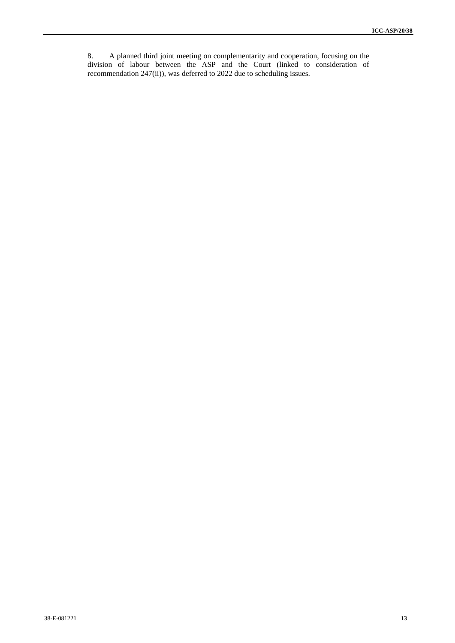8. A planned third joint meeting on complementarity and cooperation, focusing on the division of labour between the ASP and the Court (linked to consideration of recommendation 247(ii)), was deferred to 2022 due to scheduling issues.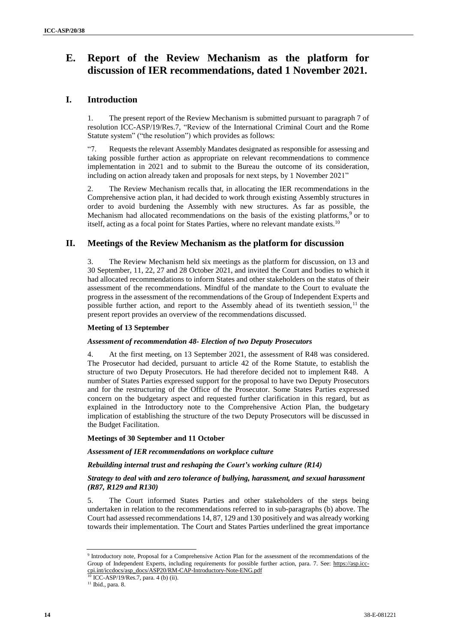# **E. Report of the Review Mechanism as the platform for discussion of IER recommendations, dated 1 November 2021.**

# **I. Introduction**

1. The present report of the Review Mechanism is submitted pursuant to paragraph 7 of resolution ICC-ASP/19/Res.7, "Review of the International Criminal Court and the Rome Statute system" ("the resolution") which provides as follows:

"7. Requests the relevant Assembly Mandates designated as responsible for assessing and taking possible further action as appropriate on relevant recommendations to commence implementation in 2021 and to submit to the Bureau the outcome of its consideration, including on action already taken and proposals for next steps, by 1 November 2021"

2. The Review Mechanism recalls that, in allocating the IER recommendations in the Comprehensive action plan, it had decided to work through existing Assembly structures in order to avoid burdening the Assembly with new structures. As far as possible, the Mechanism had allocated recommendations on the basis of the existing platforms, $9$  or to itself, acting as a focal point for States Parties, where no relevant mandate exists.<sup>10</sup>

# **II. Meetings of the Review Mechanism as the platform for discussion**

3. The Review Mechanism held six meetings as the platform for discussion, on 13 and 30 September, 11, 22, 27 and 28 October 2021, and invited the Court and bodies to which it had allocated recommendations to inform States and other stakeholders on the status of their assessment of the recommendations. Mindful of the mandate to the Court to evaluate the progress in the assessment of the recommendations of the Group of Independent Experts and possible further action, and report to the Assembly ahead of its twentieth session,  $11$  the present report provides an overview of the recommendations discussed.

## **Meeting of 13 September**

## *Assessment of recommendation 48- Election of two Deputy Prosecutors*

At the first meeting, on 13 September 2021, the assessment of R48 was considered. The Prosecutor had decided, pursuant to article 42 of the Rome Statute, to establish the structure of two Deputy Prosecutors. He had therefore decided not to implement R48. A number of States Parties expressed support for the proposal to have two Deputy Prosecutors and for the restructuring of the Office of the Prosecutor. Some States Parties expressed concern on the budgetary aspect and requested further clarification in this regard, but as explained in the Introductory note to the Comprehensive Action Plan, the budgetary implication of establishing the structure of the two Deputy Prosecutors will be discussed in the Budget Facilitation.

## **Meetings of 30 September and 11 October**

## *Assessment of IER recommendations on workplace culture*

## *Rebuilding internal trust and reshaping the Court's working culture (R14)*

#### *Strategy to deal with and zero tolerance of bullying, harassment, and sexual harassment (R87, R129 and R130)*

5. The Court informed States Parties and other stakeholders of the steps being undertaken in relation to the recommendations referred to in sub-paragraphs (b) above. The Court had assessed recommendations 14, 87, 129 and 130 positively and was already working towards their implementation. The Court and States Parties underlined the great importance

<sup>&</sup>lt;sup>9</sup> Introductory note, Proposal for a Comprehensive Action Plan for the assessment of the recommendations of the Group of Independent Experts, including requirements for possible further action, para. 7. See: [https://asp.icc](https://asp.icc-cpi.int/iccdocs/asp_docs/ASP20/RM-CAP-Introductory-Note-ENG.pdf)[cpi.int/iccdocs/asp\\_docs/ASP20/RM-CAP-Introductory-Note-ENG.pdf](https://asp.icc-cpi.int/iccdocs/asp_docs/ASP20/RM-CAP-Introductory-Note-ENG.pdf)<br><sup>10</sup> ICC-A SP/10/Peg 7, norm 4.0-V.(N)

<sup>10</sup> ICC-ASP/19/Res.7, para. 4 (b) (ii).

<sup>&</sup>lt;sup>11</sup> Ibid., para. 8.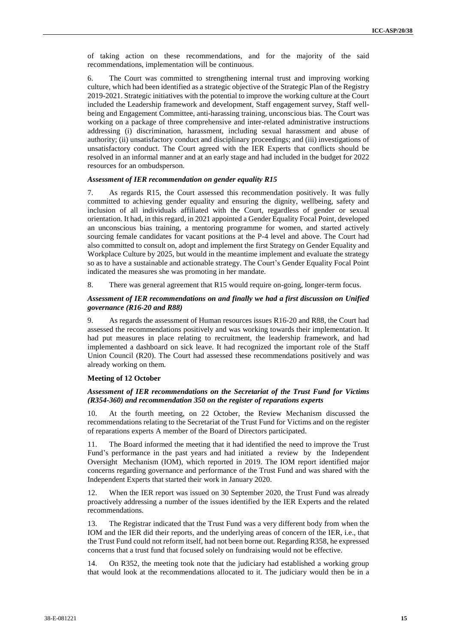of taking action on these recommendations, and for the majority of the said recommendations, implementation will be continuous.

6. The Court was committed to strengthening internal trust and improving working culture, which had been identified as a strategic objective of the Strategic Plan of the Registry 2019-2021. Strategic initiatives with the potential to improve the working culture at the Court included the Leadership framework and development, Staff engagement survey, Staff wellbeing and Engagement Committee, anti-harassing training, unconscious bias. The Court was working on a package of three comprehensive and inter-related administrative instructions addressing (i) discrimination, harassment, including sexual harassment and abuse of authority; (ii) unsatisfactory conduct and disciplinary proceedings; and (iii) investigations of unsatisfactory conduct. The Court agreed with the IER Experts that conflicts should be resolved in an informal manner and at an early stage and had included in the budget for 2022 resources for an ombudsperson.

#### *Assessment of IER recommendation on gender equality R15*

7. As regards R15, the Court assessed this recommendation positively. It was fully committed to achieving gender equality and ensuring the dignity, wellbeing, safety and inclusion of all individuals affiliated with the Court, regardless of gender or sexual orientation. It had, in this regard, in 2021 appointed a Gender Equality Focal Point, developed an unconscious bias training, a mentoring programme for women, and started actively sourcing female candidates for vacant positions at the P-4 level and above. The Court had also committed to consult on, adopt and implement the first Strategy on Gender Equality and Workplace Culture by 2025, but would in the meantime implement and evaluate the strategy so as to have a sustainable and actionable strategy. The Court's Gender Equality Focal Point indicated the measures she was promoting in her mandate.

8. There was general agreement that R15 would require on-going, longer-term focus.

#### *Assessment of IER recommendations on and finally we had a first discussion on Unified governance (R16-20 and R88)*

9. As regards the assessment of Human resources issues R16-20 and R88, the Court had assessed the recommendations positively and was working towards their implementation. It had put measures in place relating to recruitment, the leadership framework, and had implemented a dashboard on sick leave. It had recognized the important role of the Staff Union Council (R20). The Court had assessed these recommendations positively and was already working on them.

#### **Meeting of 12 October**

#### *Assessment of IER recommendations on the Secretariat of the Trust Fund for Victims (R354-360) and recommendation 350 on the register of reparations experts*

10. At the fourth meeting, on 22 October, the Review Mechanism discussed the recommendations relating to the Secretariat of the Trust Fund for Victims and on the register of reparations experts A member of the Board of Directors participated.

11. The Board informed the meeting that it had identified the need to improve the Trust Fund's performance in the past years and had initiated a review by the Independent Oversight Mechanism (IOM), which reported in 2019. The IOM report identified major concerns regarding governance and performance of the Trust Fund and was shared with the Independent Experts that started their work in January 2020.

When the IER report was issued on 30 September 2020, the Trust Fund was already proactively addressing a number of the issues identified by the IER Experts and the related recommendations.

13. The Registrar indicated that the Trust Fund was a very different body from when the IOM and the IER did their reports, and the underlying areas of concern of the IER, i.e., that the Trust Fund could not reform itself, had not been borne out. Regarding R358, he expressed concerns that a trust fund that focused solely on fundraising would not be effective.

14. On R352, the meeting took note that the judiciary had established a working group that would look at the recommendations allocated to it. The judiciary would then be in a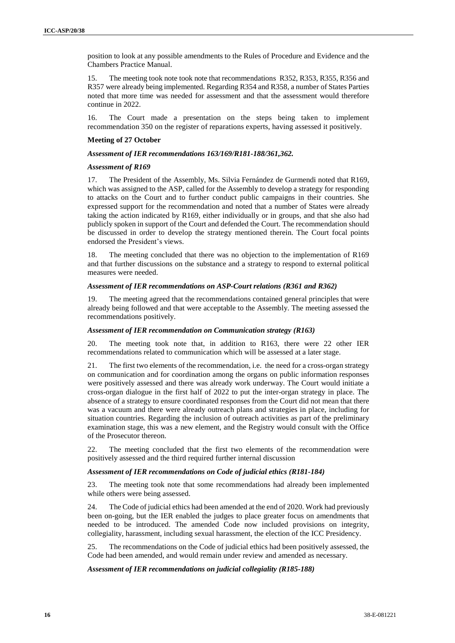position to look at any possible amendments to the Rules of Procedure and Evidence and the Chambers Practice Manual.

15. The meeting took note took note that recommendations R352, R353, R355, R356 and R357 were already being implemented. Regarding R354 and R358, a number of States Parties noted that more time was needed for assessment and that the assessment would therefore continue in 2022.

16. The Court made a presentation on the steps being taken to implement recommendation 350 on the register of reparations experts, having assessed it positively.

#### **Meeting of 27 October**

#### *Assessment of IER recommendations 163/169/R181-188/361,362.*

#### *Assessment of R169*

17. The President of the Assembly, Ms. Silvia Fernández de Gurmendi noted that R169, which was assigned to the ASP, called for the Assembly to develop a strategy for responding to attacks on the Court and to further conduct public campaigns in their countries. She expressed support for the recommendation and noted that a number of States were already taking the action indicated by R169, either individually or in groups, and that she also had publicly spoken in support of the Court and defended the Court. The recommendation should be discussed in order to develop the strategy mentioned therein. The Court focal points endorsed the President's views.

18. The meeting concluded that there was no objection to the implementation of R169 and that further discussions on the substance and a strategy to respond to external political measures were needed.

#### *Assessment of IER recommendations on ASP-Court relations (R361 and R362)*

19. The meeting agreed that the recommendations contained general principles that were already being followed and that were acceptable to the Assembly. The meeting assessed the recommendations positively.

#### *Assessment of IER recommendation on Communication strategy (R163)*

20. The meeting took note that, in addition to R163, there were 22 other IER recommendations related to communication which will be assessed at a later stage.

21. The first two elements of the recommendation, i.e. the need for a cross-organ strategy on communication and for coordination among the organs on public information responses were positively assessed and there was already work underway. The Court would initiate a cross-organ dialogue in the first half of 2022 to put the inter-organ strategy in place. The absence of a strategy to ensure coordinated responses from the Court did not mean that there was a vacuum and there were already outreach plans and strategies in place, including for situation countries. Regarding the inclusion of outreach activities as part of the preliminary examination stage, this was a new element, and the Registry would consult with the Office of the Prosecutor thereon.

22. The meeting concluded that the first two elements of the recommendation were positively assessed and the third required further internal discussion

#### *Assessment of IER recommendations on Code of judicial ethics (R181-184)*

23. The meeting took note that some recommendations had already been implemented while others were being assessed.

24. The Code of judicial ethics had been amended at the end of 2020. Work had previously been on-going, but the IER enabled the judges to place greater focus on amendments that needed to be introduced. The amended Code now included provisions on integrity, collegiality, harassment, including sexual harassment, the election of the ICC Presidency.

25. The recommendations on the Code of judicial ethics had been positively assessed, the Code had been amended, and would remain under review and amended as necessary.

## *Assessment of IER recommendations on judicial collegiality (R185-188)*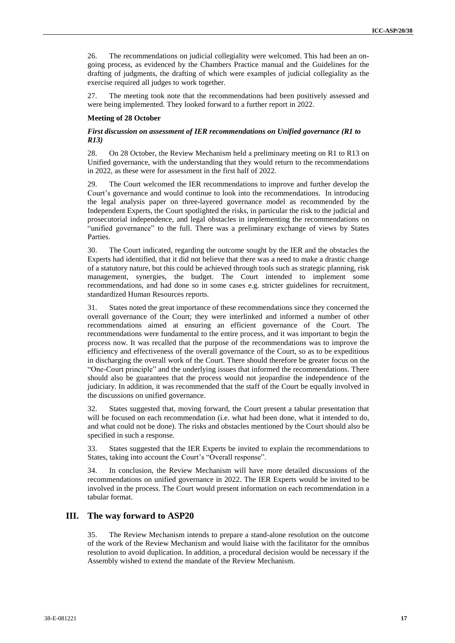26. The recommendations on judicial collegiality were welcomed. This had been an ongoing process, as evidenced by the Chambers Practice manual and the Guidelines for the drafting of judgments, the drafting of which were examples of judicial collegiality as the exercise required all judges to work together.

27. The meeting took note that the recommendations had been positively assessed and were being implemented. They looked forward to a further report in 2022.

#### **Meeting of 28 October**

## *First discussion on assessment of IER recommendations on Unified governance (R1 to R13)*

28. On 28 October, the Review Mechanism held a preliminary meeting on R1 to R13 on Unified governance, with the understanding that they would return to the recommendations in 2022, as these were for assessment in the first half of 2022.

29. The Court welcomed the IER recommendations to improve and further develop the Court's governance and would continue to look into the recommendations. In introducing the legal analysis paper on three-layered governance model as recommended by the Independent Experts, the Court spotlighted the risks, in particular the risk to the judicial and prosecutorial independence, and legal obstacles in implementing the recommendations on "unified governance" to the full. There was a preliminary exchange of views by States Parties.

30. The Court indicated, regarding the outcome sought by the IER and the obstacles the Experts had identified, that it did not believe that there was a need to make a drastic change of a statutory nature, but this could be achieved through tools such as strategic planning, risk management, synergies, the budget. The Court intended to implement some recommendations, and had done so in some cases e.g. stricter guidelines for recruitment, standardized Human Resources reports.

31. States noted the great importance of these recommendations since they concerned the overall governance of the Court; they were interlinked and informed a number of other recommendations aimed at ensuring an efficient governance of the Court. The recommendations were fundamental to the entire process, and it was important to begin the process now. It was recalled that the purpose of the recommendations was to improve the efficiency and effectiveness of the overall governance of the Court, so as to be expeditious in discharging the overall work of the Court. There should therefore be greater focus on the "One-Court principle" and the underlying issues that informed the recommendations. There should also be guarantees that the process would not jeopardise the independence of the judiciary. In addition, it was recommended that the staff of the Court be equally involved in the discussions on unified governance.

32. States suggested that, moving forward, the Court present a tabular presentation that will be focused on each recommendation (i.e. what had been done, what it intended to do, and what could not be done). The risks and obstacles mentioned by the Court should also be specified in such a response.

33. States suggested that the IER Experts be invited to explain the recommendations to States, taking into account the Court's "Overall response".

34. In conclusion, the Review Mechanism will have more detailed discussions of the recommendations on unified governance in 2022. The IER Experts would be invited to be involved in the process. The Court would present information on each recommendation in a tabular format.

# **III. The way forward to ASP20**

35. The Review Mechanism intends to prepare a stand-alone resolution on the outcome of the work of the Review Mechanism and would liaise with the facilitator for the omnibus resolution to avoid duplication. In addition, a procedural decision would be necessary if the Assembly wished to extend the mandate of the Review Mechanism.